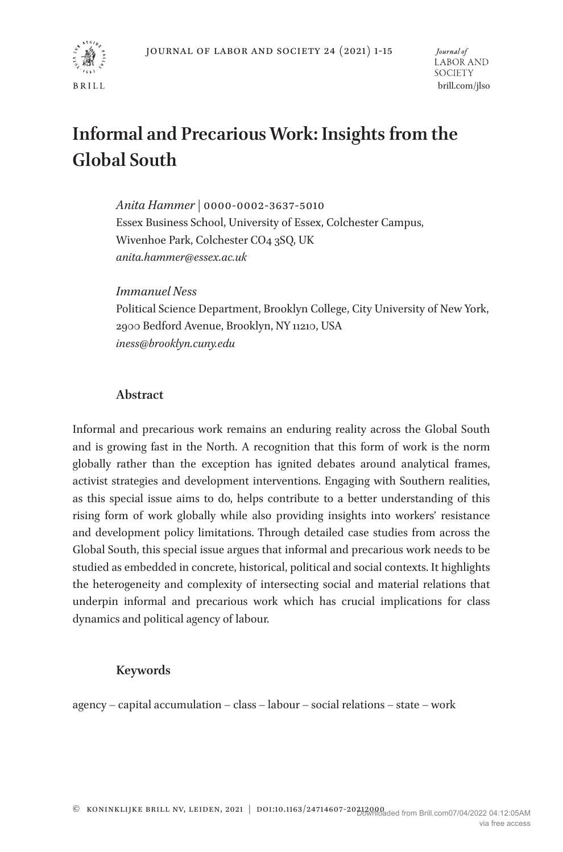

# **Informal and Precarious Work: Insights from the Global South**

*Anita Hammer* | 0000-0002-3637-5010 Essex Business School, University of Essex, Colchester Campus, Wivenhoe Park, Colchester CO4 3SQ, UK *anita.hammer@essex.ac.uk*

*Immanuel Ness* 

Political Science Department, Brooklyn College, City University of New York, 2900 Bedford Avenue, Brooklyn, NY 11210, USA *iness@brooklyn.cuny.edu*

#### **Abstract**

Informal and precarious work remains an enduring reality across the Global South and is growing fast in the North. A recognition that this form of work is the norm globally rather than the exception has ignited debates around analytical frames, activist strategies and development interventions. Engaging with Southern realities, as this special issue aims to do, helps contribute to a better understanding of this rising form of work globally while also providing insights into workers' resistance and development policy limitations. Through detailed case studies from across the Global South, this special issue argues that informal and precarious work needs to be studied as embedded in concrete, historical, political and social contexts. It highlights the heterogeneity and complexity of intersecting social and material relations that underpin informal and precarious work which has crucial implications for class dynamics and political agency of labour.

#### **Keywords**

agency – capital accumulation – class – labour – social relations – state – work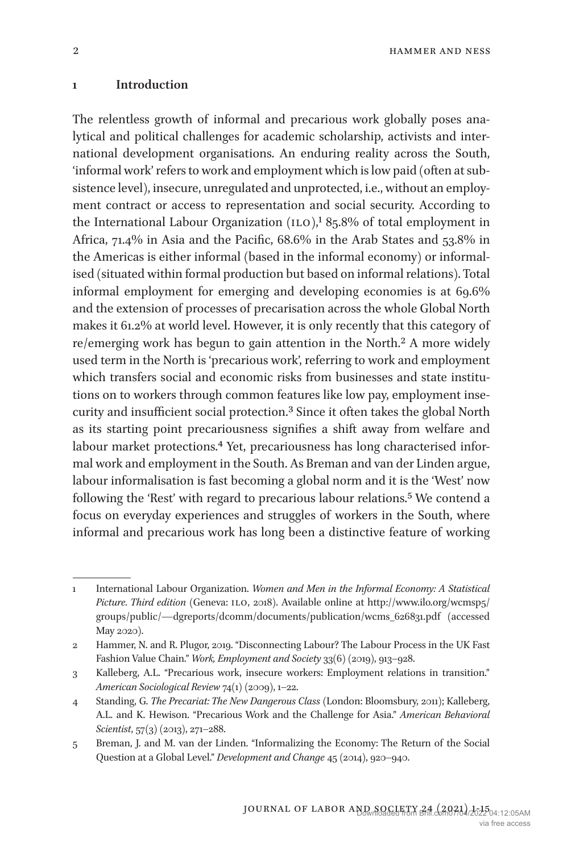#### **1 Introduction**

The relentless growth of informal and precarious work globally poses analytical and political challenges for academic scholarship, activists and international development organisations. An enduring reality across the South, 'informal work' refers to work and employment which is low paid (often at subsistence level), insecure, unregulated and unprotected, i.e., without an employment contract or access to representation and social security. According to the International Labour Organization  $(1LO)$ ,<sup>1</sup> 85.8% of total employment in Africa, 71.4% in Asia and the Pacific, 68.6% in the Arab States and 53.8% in the Americas is either informal (based in the informal economy) or informalised (situated within formal production but based on informal relations). Total informal employment for emerging and developing economies is at 69.6% and the extension of processes of precarisation across the whole Global North makes it 61.2% at world level. However, it is only recently that this category of re/emerging work has begun to gain attention in the North.2 A more widely used term in the North is 'precarious work', referring to work and employment which transfers social and economic risks from businesses and state institutions on to workers through common features like low pay, employment insecurity and insufficient social protection.3 Since it often takes the global North as its starting point precariousness signifies a shift away from welfare and labour market protections.<sup>4</sup> Yet, precariousness has long characterised informal work and employment in the South. As Breman and van der Linden argue, labour informalisation is fast becoming a global norm and it is the 'West' now following the 'Rest' with regard to precarious labour relations.<sup>5</sup> We contend a focus on everyday experiences and struggles of workers in the South, where informal and precarious work has long been a distinctive feature of working

<sup>1</sup> International Labour Organization. *Women and Men in the Informal Economy: A Statistical*  Picture. Third edition (Geneva: 1LO, 2018). Available online at http://www.ilo.org/wcmsp5/ groups/public/—dgreports/dcomm/documents/publication/wcms\_626831.pdf (accessed May 2020).

<sup>2</sup> Hammer, N. and R. Plugor, 2019. "Disconnecting Labour? The Labour Process in the UK Fast Fashion Value Chain." *Work, Employment and Society* 33(6) (2019), 913–928.

<sup>3</sup> Kalleberg, A.L. "Precarious work, insecure workers: Employment relations in transition." *American Sociological Review* 74(1) (2009), 1–22.

<sup>4</sup> Standing, G. *The Precariat: The New Dangerous Class* (London: Bloomsbury, 2011); Kalleberg, A.L. and K. Hewison. "Precarious Work and the Challenge for Asia." *American Behavioral Scientist*, 57(3) (2013), 271–288.

<sup>5</sup> Breman, J. and M. van der Linden. "Informalizing the Economy: The Return of the Social Question at a Global Level." *Development and Change* 45 (2014), 920–940.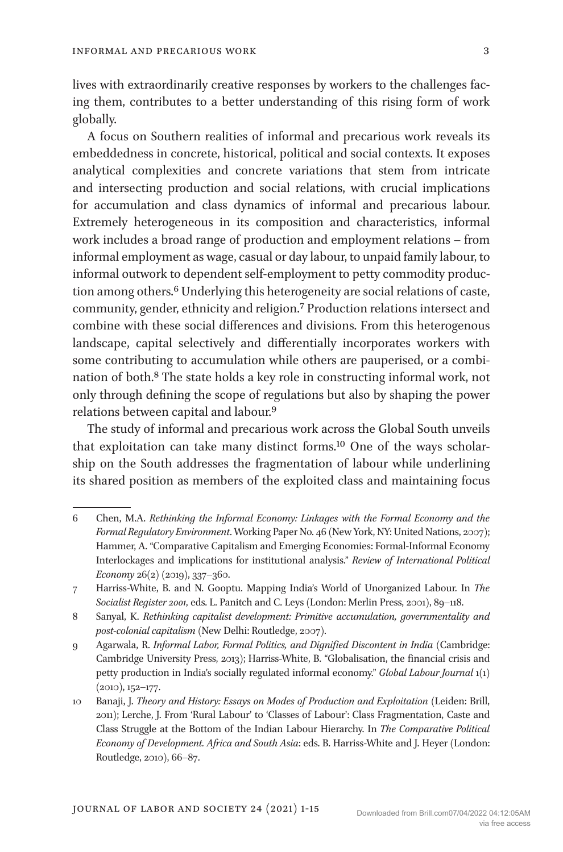lives with extraordinarily creative responses by workers to the challenges facing them, contributes to a better understanding of this rising form of work globally.

A focus on Southern realities of informal and precarious work reveals its embeddedness in concrete, historical, political and social contexts. It exposes analytical complexities and concrete variations that stem from intricate and intersecting production and social relations, with crucial implications for accumulation and class dynamics of informal and precarious labour. Extremely heterogeneous in its composition and characteristics, informal work includes a broad range of production and employment relations – from informal employment as wage, casual or day labour, to unpaid family labour, to informal outwork to dependent self-employment to petty commodity production among others.<sup>6</sup> Underlying this heterogeneity are social relations of caste, community, gender, ethnicity and religion.7 Production relations intersect and combine with these social differences and divisions. From this heterogenous landscape, capital selectively and differentially incorporates workers with some contributing to accumulation while others are pauperised, or a combination of both.8 The state holds a key role in constructing informal work, not only through defining the scope of regulations but also by shaping the power relations between capital and labour.9

The study of informal and precarious work across the Global South unveils that exploitation can take many distinct forms.10 One of the ways scholarship on the South addresses the fragmentation of labour while underlining its shared position as members of the exploited class and maintaining focus

<sup>6</sup> Chen, M.A. *Rethinking the Informal Economy: Linkages with the Formal Economy and the Formal Regulatory Environment*. Working Paper No. 46 (New York, NY: United Nations, 2007); Hammer, A. "Comparative Capitalism and Emerging Economies: Formal-Informal Economy Interlockages and implications for institutional analysis." *Review of International Political Economy* 26(2) (2019), 337–360.

<sup>7</sup> Harriss-White, B. and N. Gooptu. Mapping India's World of Unorganized Labour. In *The Socialist Register 2001*, eds. L. Panitch and C. Leys (London: Merlin Press, 2001), 89–118.

<sup>8</sup> Sanyal, K. *Rethinking capitalist development: Primitive accumulation, governmentality and post-colonial capitalism* (New Delhi: Routledge, 2007).

<sup>9</sup> Agarwala, R. *Informal Labor, Formal Politics, and Dignified Discontent in India* (Cambridge: Cambridge University Press, 2013); Harriss-White, B. "Globalisation, the financial crisis and petty production in India's socially regulated informal economy." *Global Labour Journal* 1(1) (2010), 152–177.

<sup>10</sup> Banaji, J. *Theory and History: Essays on Modes of Production and Exploitation* (Leiden: Brill, 2011); Lerche, J. From 'Rural Labour' to 'Classes of Labour': Class Fragmentation, Caste and Class Struggle at the Bottom of the Indian Labour Hierarchy. In *The Comparative Political Economy of Development. Africa and South Asia*: eds. B. Harriss-White and J. Heyer (London: Routledge, 2010), 66–87.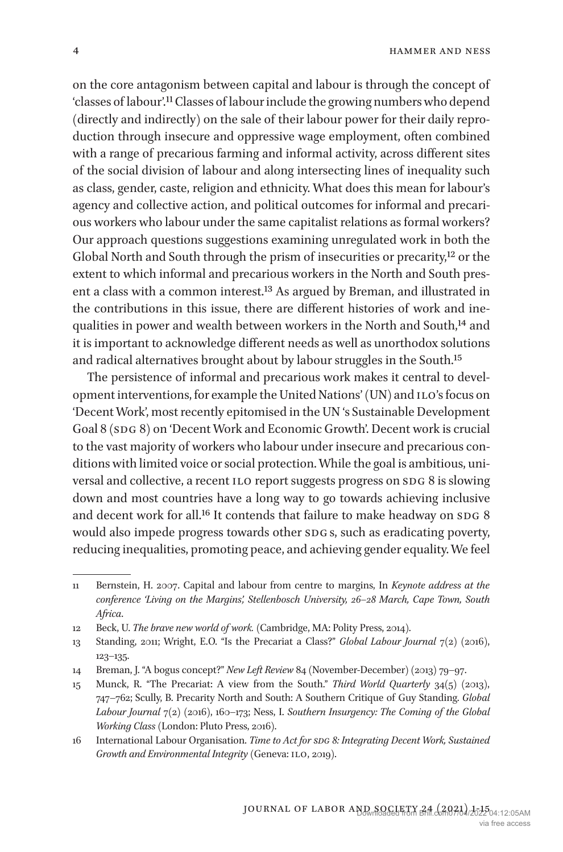on the core antagonism between capital and labour is through the concept of 'classes of labour'.11 Classes of labour include the growing numbers who depend (directly and indirectly) on the sale of their labour power for their daily reproduction through insecure and oppressive wage employment, often combined with a range of precarious farming and informal activity, across different sites of the social division of labour and along intersecting lines of inequality such as class, gender, caste, religion and ethnicity. What does this mean for labour's agency and collective action, and political outcomes for informal and precarious workers who labour under the same capitalist relations as formal workers? Our approach questions suggestions examining unregulated work in both the Global North and South through the prism of insecurities or precarity,12 or the extent to which informal and precarious workers in the North and South present a class with a common interest.13 As argued by Breman, and illustrated in the contributions in this issue, there are different histories of work and inequalities in power and wealth between workers in the North and South,<sup>14</sup> and it is important to acknowledge different needs as well as unorthodox solutions and radical alternatives brought about by labour struggles in the South.15

The persistence of informal and precarious work makes it central to development interventions, for example the United Nations' (UN) and ILO's focus on 'Decent Work', most recently epitomised in the UN 's Sustainable Development Goal 8 (SDG 8) on 'Decent Work and Economic Growth'. Decent work is crucial to the vast majority of workers who labour under insecure and precarious conditions with limited voice or social protection. While the goal is ambitious, universal and collective, a recent ILO report suggests progress on SDG 8 is slowing down and most countries have a long way to go towards achieving inclusive and decent work for all.<sup>16</sup> It contends that failure to make headway on SDG 8 would also impede progress towards other SDG<sub>s</sub>, such as eradicating poverty, reducing inequalities, promoting peace, and achieving gender equality. We feel

<sup>11</sup> Bernstein, H. 2007. Capital and labour from centre to margins, In *Keynote address at the conference 'Living on the Margins', Stellenbosch University, 26–28 March, Cape Town, South Africa*.

<sup>12</sup> Beck, U. *The brave new world of work.* (Cambridge, MA: Polity Press, 2014).

<sup>13</sup> Standing, 2011; Wright, E.O. "Is the Precariat a Class?" *Global Labour Journal* 7(2) (2016), 123–135.

<sup>14</sup> Breman, J. "A bogus concept?" *New Left Review* 84 (November-December) (2013) 79–97.

<sup>15</sup> Munck, R. "The Precariat: A view from the South." *Third World Quarterly* 34(5) (2013), 747–762; Scully, B. Precarity North and South: A Southern Critique of Guy Standing. *Global Labour Journal* 7(2) (2016), 160–173; Ness, I. *Southern Insurgency: The Coming of the Global Working Class* (London: Pluto Press, 2016).

<sup>16</sup> International Labour Organisation. *Time to Act for sdg 8: Integrating Decent Work, Sustained Growth and Environmental Integrity* (Geneva: ILO, 2019).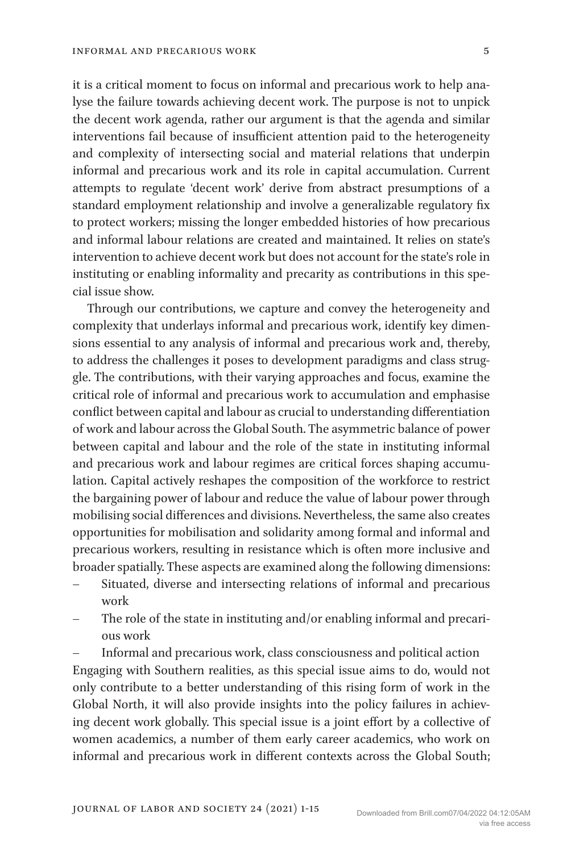it is a critical moment to focus on informal and precarious work to help analyse the failure towards achieving decent work. The purpose is not to unpick the decent work agenda, rather our argument is that the agenda and similar interventions fail because of insufficient attention paid to the heterogeneity and complexity of intersecting social and material relations that underpin informal and precarious work and its role in capital accumulation. Current attempts to regulate 'decent work' derive from abstract presumptions of a standard employment relationship and involve a generalizable regulatory fix to protect workers; missing the longer embedded histories of how precarious and informal labour relations are created and maintained. It relies on state's intervention to achieve decent work but does not account for the state's role in instituting or enabling informality and precarity as contributions in this special issue show.

Through our contributions, we capture and convey the heterogeneity and complexity that underlays informal and precarious work, identify key dimensions essential to any analysis of informal and precarious work and, thereby, to address the challenges it poses to development paradigms and class struggle. The contributions, with their varying approaches and focus, examine the critical role of informal and precarious work to accumulation and emphasise conflict between capital and labour as crucial to understanding differentiation of work and labour across the Global South. The asymmetric balance of power between capital and labour and the role of the state in instituting informal and precarious work and labour regimes are critical forces shaping accumulation. Capital actively reshapes the composition of the workforce to restrict the bargaining power of labour and reduce the value of labour power through mobilising social differences and divisions. Nevertheless, the same also creates opportunities for mobilisation and solidarity among formal and informal and precarious workers, resulting in resistance which is often more inclusive and broader spatially. These aspects are examined along the following dimensions:

- Situated, diverse and intersecting relations of informal and precarious work
- The role of the state in instituting and/or enabling informal and precarious work

– Informal and precarious work, class consciousness and political action Engaging with Southern realities, as this special issue aims to do, would not only contribute to a better understanding of this rising form of work in the Global North, it will also provide insights into the policy failures in achieving decent work globally. This special issue is a joint effort by a collective of women academics, a number of them early career academics, who work on informal and precarious work in different contexts across the Global South;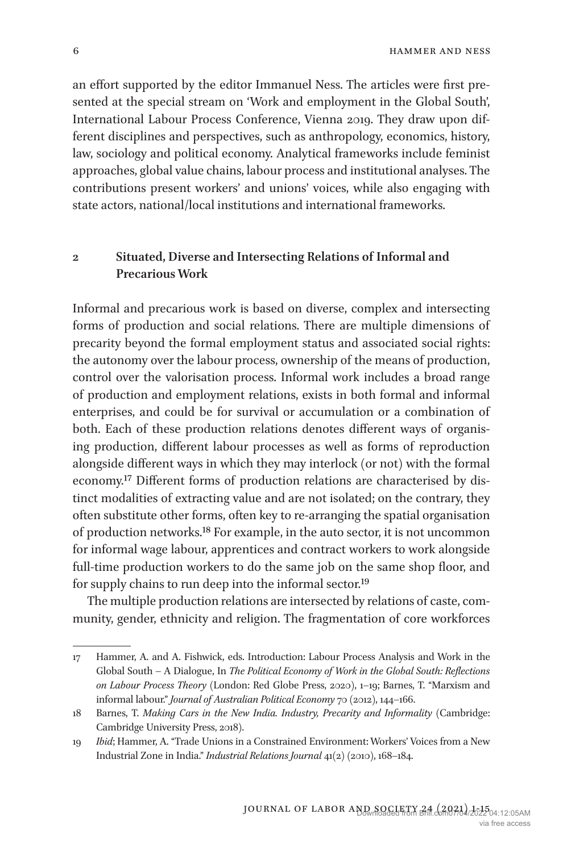an effort supported by the editor Immanuel Ness. The articles were first presented at the special stream on 'Work and employment in the Global South', International Labour Process Conference, Vienna 2019. They draw upon different disciplines and perspectives, such as anthropology, economics, history, law, sociology and political economy. Analytical frameworks include feminist approaches, global value chains, labour process and institutional analyses. The contributions present workers' and unions' voices, while also engaging with state actors, national/local institutions and international frameworks.

# **2 Situated, Diverse and Intersecting Relations of Informal and Precarious Work**

Informal and precarious work is based on diverse, complex and intersecting forms of production and social relations. There are multiple dimensions of precarity beyond the formal employment status and associated social rights: the autonomy over the labour process, ownership of the means of production, control over the valorisation process. Informal work includes a broad range of production and employment relations, exists in both formal and informal enterprises, and could be for survival or accumulation or a combination of both. Each of these production relations denotes different ways of organising production, different labour processes as well as forms of reproduction alongside different ways in which they may interlock (or not) with the formal economy.17 Different forms of production relations are characterised by distinct modalities of extracting value and are not isolated; on the contrary, they often substitute other forms, often key to re-arranging the spatial organisation of production networks.18 For example, in the auto sector, it is not uncommon for informal wage labour, apprentices and contract workers to work alongside full-time production workers to do the same job on the same shop floor, and for supply chains to run deep into the informal sector.19

The multiple production relations are intersected by relations of caste, community, gender, ethnicity and religion. The fragmentation of core workforces

<sup>17</sup> Hammer, A. and A. Fishwick, eds. Introduction: Labour Process Analysis and Work in the Global South – A Dialogue, In *The Political Economy of Work in the Global South: Reflections on Labour Process Theory* (London: Red Globe Press, 2020), 1–19; Barnes, T. "Marxism and informal labour." *Journal of Australian Political Economy* 70 (2012), 144–166.

<sup>18</sup> Barnes, T. *Making Cars in the New India. Industry, Precarity and Informality* (Cambridge: Cambridge University Press, 2018).

<sup>19</sup> *Ibid*; Hammer, A. "Trade Unions in a Constrained Environment: Workers' Voices from a New Industrial Zone in India." *Industrial Relations Journal* 41(2) (2010), 168–184.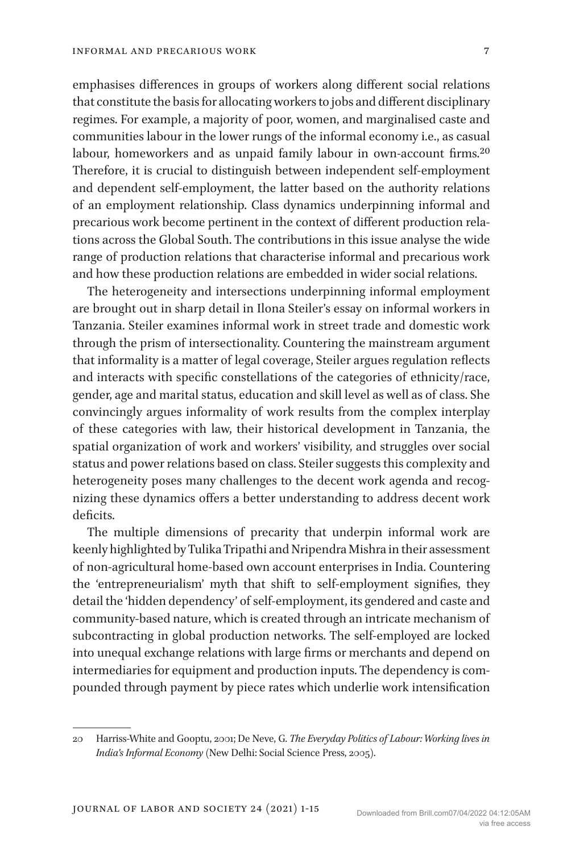emphasises differences in groups of workers along different social relations that constitute the basis for allocating workers to jobs and different disciplinary regimes. For example, a majority of poor, women, and marginalised caste and communities labour in the lower rungs of the informal economy i.e., as casual labour, homeworkers and as unpaid family labour in own-account firms.20 Therefore, it is crucial to distinguish between independent self-employment and dependent self-employment, the latter based on the authority relations of an employment relationship. Class dynamics underpinning informal and precarious work become pertinent in the context of different production relations across the Global South. The contributions in this issue analyse the wide range of production relations that characterise informal and precarious work and how these production relations are embedded in wider social relations.

The heterogeneity and intersections underpinning informal employment are brought out in sharp detail in Ilona Steiler's essay on informal workers in Tanzania. Steiler examines informal work in street trade and domestic work through the prism of intersectionality. Countering the mainstream argument that informality is a matter of legal coverage, Steiler argues regulation reflects and interacts with specific constellations of the categories of ethnicity/race, gender, age and marital status, education and skill level as well as of class. She convincingly argues informality of work results from the complex interplay of these categories with law, their historical development in Tanzania, the spatial organization of work and workers' visibility, and struggles over social status and power relations based on class. Steiler suggests this complexity and heterogeneity poses many challenges to the decent work agenda and recognizing these dynamics offers a better understanding to address decent work deficits.

The multiple dimensions of precarity that underpin informal work are keenly highlighted by Tulika Tripathi and Nripendra Mishra in their assessment of non-agricultural home-based own account enterprises in India. Countering the 'entrepreneurialism' myth that shift to self-employment signifies, they detail the 'hidden dependency' of self-employment, its gendered and caste and community-based nature, which is created through an intricate mechanism of subcontracting in global production networks. The self-employed are locked into unequal exchange relations with large firms or merchants and depend on intermediaries for equipment and production inputs. The dependency is compounded through payment by piece rates which underlie work intensification

<sup>20</sup> Harriss-White and Gooptu, 2001; De Neve, G. *The Everyday Politics of Labour: Working lives in India's Informal Economy* (New Delhi: Social Science Press, 2005).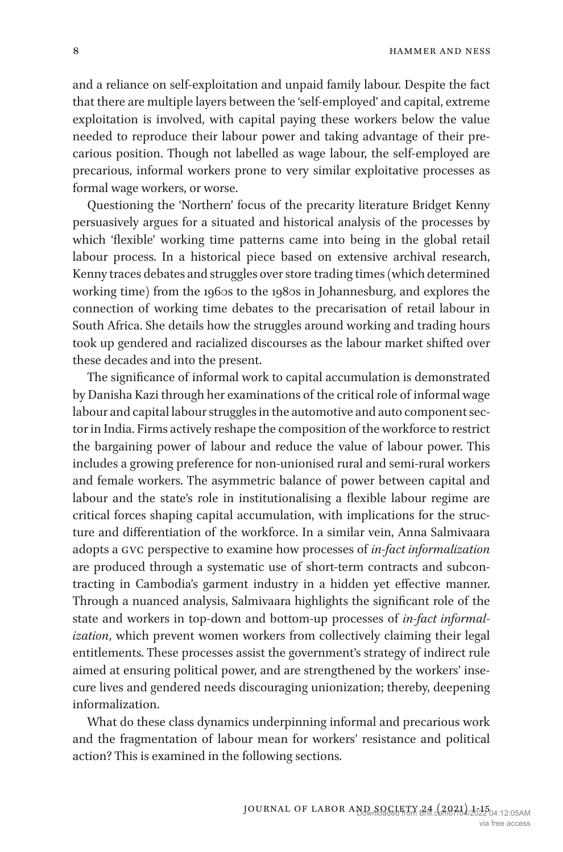and a reliance on self-exploitation and unpaid family labour. Despite the fact that there are multiple layers between the 'self-employed' and capital, extreme exploitation is involved, with capital paying these workers below the value needed to reproduce their labour power and taking advantage of their precarious position. Though not labelled as wage labour, the self-employed are precarious, informal workers prone to very similar exploitative processes as formal wage workers, or worse.

Questioning the 'Northern' focus of the precarity literature Bridget Kenny persuasively argues for a situated and historical analysis of the processes by which 'flexible' working time patterns came into being in the global retail labour process. In a historical piece based on extensive archival research, Kenny traces debates and struggles over store trading times (which determined working time) from the 1960s to the 1980s in Johannesburg, and explores the connection of working time debates to the precarisation of retail labour in South Africa. She details how the struggles around working and trading hours took up gendered and racialized discourses as the labour market shifted over these decades and into the present.

The significance of informal work to capital accumulation is demonstrated by Danisha Kazi through her examinations of the critical role of informal wage labour and capital labour struggles in the automotive and auto component sector in India. Firms actively reshape the composition of the workforce to restrict the bargaining power of labour and reduce the value of labour power. This includes a growing preference for non-unionised rural and semi-rural workers and female workers. The asymmetric balance of power between capital and labour and the state's role in institutionalising a flexible labour regime are critical forces shaping capital accumulation, with implications for the structure and differentiation of the workforce. In a similar vein, Anna Salmivaara adopts a gvc perspective to examine how processes of *in-fact informalization* are produced through a systematic use of short-term contracts and subcontracting in Cambodia's garment industry in a hidden yet effective manner. Through a nuanced analysis, Salmivaara highlights the significant role of the state and workers in top-down and bottom-up processes of *in-fact informalization*, which prevent women workers from collectively claiming their legal entitlements. These processes assist the government's strategy of indirect rule aimed at ensuring political power, and are strengthened by the workers' insecure lives and gendered needs discouraging unionization; thereby, deepening informalization.

What do these class dynamics underpinning informal and precarious work and the fragmentation of labour mean for workers' resistance and political action? This is examined in the following sections.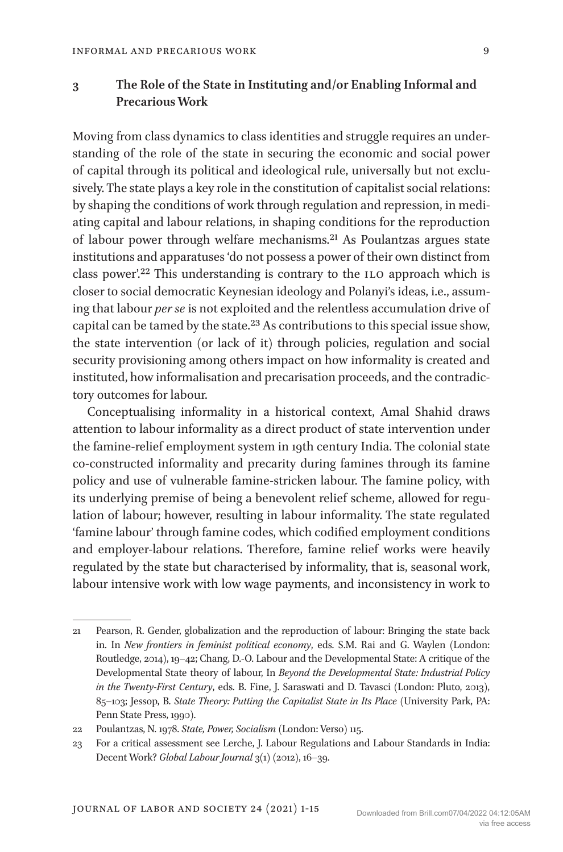## **3 The Role of the State in Instituting and/or Enabling Informal and Precarious Work**

Moving from class dynamics to class identities and struggle requires an understanding of the role of the state in securing the economic and social power of capital through its political and ideological rule, universally but not exclusively. The state plays a key role in the constitution of capitalist social relations: by shaping the conditions of work through regulation and repression, in mediating capital and labour relations, in shaping conditions for the reproduction of labour power through welfare mechanisms.21 As Poulantzas argues state institutions and apparatuses 'do not possess a power of their own distinct from class power'.<sup>22</sup> This understanding is contrary to the ILO approach which is closer to social democratic Keynesian ideology and Polanyi's ideas, i.e., assuming that labour *per se* is not exploited and the relentless accumulation drive of capital can be tamed by the state.23 As contributions to this special issue show, the state intervention (or lack of it) through policies, regulation and social security provisioning among others impact on how informality is created and instituted, how informalisation and precarisation proceeds, and the contradictory outcomes for labour.

Conceptualising informality in a historical context, Amal Shahid draws attention to labour informality as a direct product of state intervention under the famine-relief employment system in 19th century India. The colonial state co-constructed informality and precarity during famines through its famine policy and use of vulnerable famine-stricken labour. The famine policy, with its underlying premise of being a benevolent relief scheme, allowed for regulation of labour; however, resulting in labour informality. The state regulated 'famine labour' through famine codes, which codified employment conditions and employer-labour relations. Therefore, famine relief works were heavily regulated by the state but characterised by informality, that is, seasonal work, labour intensive work with low wage payments, and inconsistency in work to

<sup>21</sup> Pearson, R. Gender, globalization and the reproduction of labour: Bringing the state back in. In *New frontiers in feminist political economy*, eds. S.M. Rai and G. Waylen (London: Routledge, 2014), 19–42; Chang, D.-O. Labour and the Developmental State: A critique of the Developmental State theory of labour, In *Beyond the Developmental State: Industrial Policy in the Twenty-First Century*, eds. B. Fine, J. Saraswati and D. Tavasci (London: Pluto, 2013), 85–103; Jessop, B. *State Theory: Putting the Capitalist State in Its Place* (University Park, PA: Penn State Press, 1990).

<sup>22</sup> Poulantzas, N. 1978. *State, Power, Socialism* (London: Verso) 115.

<sup>23</sup> For a critical assessment see Lerche, J. Labour Regulations and Labour Standards in India: Decent Work? *Global Labour Journal* 3(1) (2012), 16–39.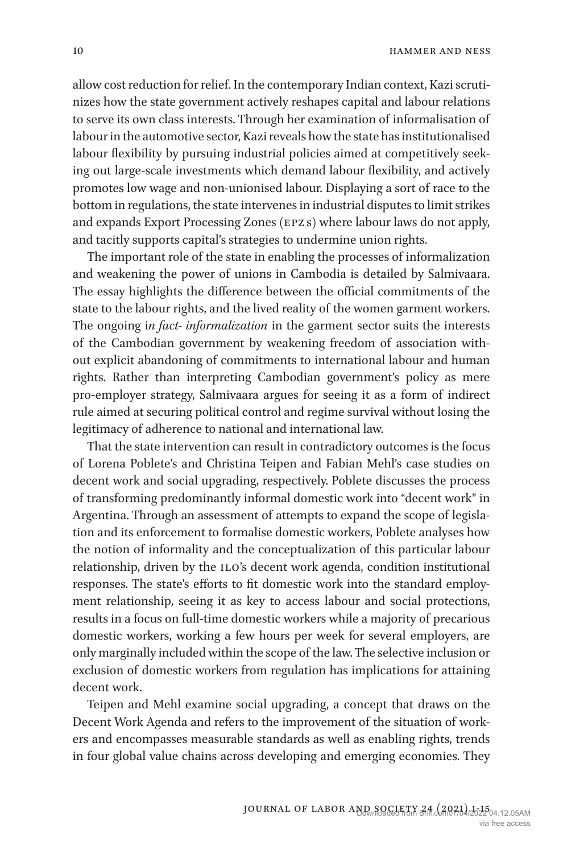allow cost reduction for relief. In the contemporary Indian context, Kazi scrutinizes how the state government actively reshapes capital and labour relations to serve its own class interests. Through her examination of informalisation of labour in the automotive sector, Kazi reveals how the state has institutionalised labour flexibility by pursuing industrial policies aimed at competitively seeking out large-scale investments which demand labour flexibility, and actively promotes low wage and non-unionised labour. Displaying a sort of race to the bottom in regulations, the state intervenes in industrial disputes to limit strikes and expands Export Processing Zones (epz s) where labour laws do not apply, and tacitly supports capital's strategies to undermine union rights.

The important role of the state in enabling the processes of informalization and weakening the power of unions in Cambodia is detailed by Salmivaara. The essay highlights the difference between the official commitments of the state to the labour rights, and the lived reality of the women garment workers. The ongoing i*n fact- informalization* in the garment sector suits the interests of the Cambodian government by weakening freedom of association without explicit abandoning of commitments to international labour and human rights. Rather than interpreting Cambodian government's policy as mere pro-employer strategy, Salmivaara argues for seeing it as a form of indirect rule aimed at securing political control and regime survival without losing the legitimacy of adherence to national and international law.

That the state intervention can result in contradictory outcomes is the focus of Lorena Poblete's and Christina Teipen and Fabian Mehl's case studies on decent work and social upgrading, respectively. Poblete discusses the process of transforming predominantly informal domestic work into "decent work" in Argentina. Through an assessment of attempts to expand the scope of legislation and its enforcement to formalise domestic workers, Poblete analyses how the notion of informality and the conceptualization of this particular labour relationship, driven by the ILO's decent work agenda, condition institutional responses. The state's efforts to fit domestic work into the standard employment relationship, seeing it as key to access labour and social protections, results in a focus on full-time domestic workers while a majority of precarious domestic workers, working a few hours per week for several employers, are only marginally included within the scope of the law. The selective inclusion or exclusion of domestic workers from regulation has implications for attaining decent work.

Teipen and Mehl examine social upgrading, a concept that draws on the Decent Work Agenda and refers to the improvement of the situation of workers and encompasses measurable standards as well as enabling rights, trends in four global value chains across developing and emerging economies. They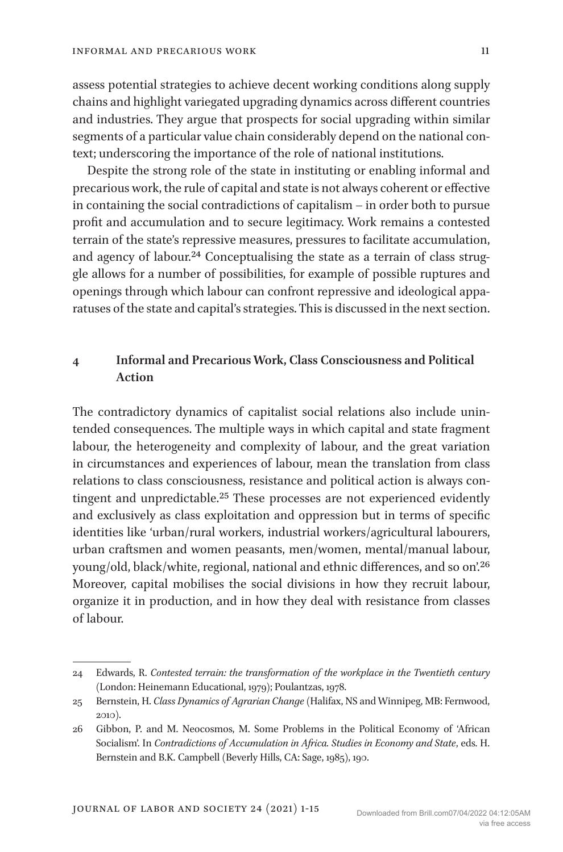assess potential strategies to achieve decent working conditions along supply chains and highlight variegated upgrading dynamics across different countries and industries. They argue that prospects for social upgrading within similar segments of a particular value chain considerably depend on the national context; underscoring the importance of the role of national institutions.

Despite the strong role of the state in instituting or enabling informal and precarious work, the rule of capital and state is not always coherent or effective in containing the social contradictions of capitalism – in order both to pursue profit and accumulation and to secure legitimacy. Work remains a contested terrain of the state's repressive measures, pressures to facilitate accumulation, and agency of labour.<sup>24</sup> Conceptualising the state as a terrain of class struggle allows for a number of possibilities, for example of possible ruptures and openings through which labour can confront repressive and ideological apparatuses of the state and capital's strategies. This is discussed in the next section.

# **4 Informal and Precarious Work, Class Consciousness and Political Action**

The contradictory dynamics of capitalist social relations also include unintended consequences. The multiple ways in which capital and state fragment labour, the heterogeneity and complexity of labour, and the great variation in circumstances and experiences of labour, mean the translation from class relations to class consciousness, resistance and political action is always contingent and unpredictable.25 These processes are not experienced evidently and exclusively as class exploitation and oppression but in terms of specific identities like 'urban/rural workers, industrial workers/agricultural labourers, urban craftsmen and women peasants, men/women, mental/manual labour, young/old, black/white, regional, national and ethnic differences, and so on'.26 Moreover, capital mobilises the social divisions in how they recruit labour, organize it in production, and in how they deal with resistance from classes of labour.

<sup>24</sup> Edwards, R. *Contested terrain: the transformation of the workplace in the Twentieth century* (London: Heinemann Educational, 1979); Poulantzas, 1978.

<sup>25</sup> Bernstein, H. *Class Dynamics of Agrarian Change* (Halifax, NS and Winnipeg, MB: Fernwood, 2010).

<sup>26</sup> Gibbon, P. and M. Neocosmos, M. Some Problems in the Political Economy of 'African Socialism'. In *Contradictions of Accumulation in Africa. Studies in Economy and State*, eds. H. Bernstein and B.K. Campbell (Beverly Hills, CA: Sage, 1985), 190.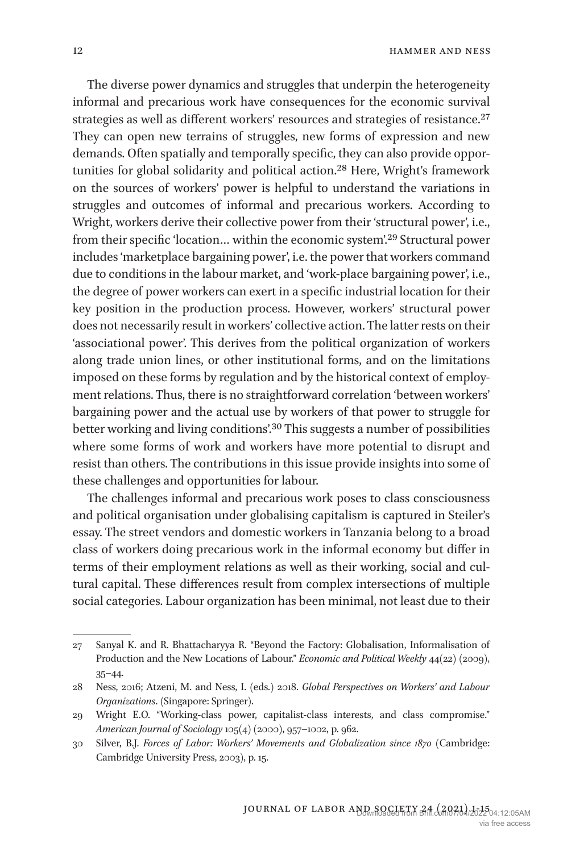The diverse power dynamics and struggles that underpin the heterogeneity informal and precarious work have consequences for the economic survival strategies as well as different workers' resources and strategies of resistance.<sup>27</sup> They can open new terrains of struggles, new forms of expression and new demands. Often spatially and temporally specific, they can also provide opportunities for global solidarity and political action.28 Here, Wright's framework on the sources of workers' power is helpful to understand the variations in struggles and outcomes of informal and precarious workers. According to Wright, workers derive their collective power from their 'structural power', i.e., from their specific 'location… within the economic system'.29 Structural power includes 'marketplace bargaining power', i.e. the power that workers command due to conditions in the labour market, and 'work-place bargaining power', i.e., the degree of power workers can exert in a specific industrial location for their key position in the production process. However, workers' structural power does not necessarily result in workers' collective action. The latter rests on their 'associational power'. This derives from the political organization of workers along trade union lines, or other institutional forms, and on the limitations imposed on these forms by regulation and by the historical context of employment relations. Thus, there is no straightforward correlation 'between workers' bargaining power and the actual use by workers of that power to struggle for better working and living conditions'.30 This suggests a number of possibilities where some forms of work and workers have more potential to disrupt and resist than others. The contributions in this issue provide insights into some of these challenges and opportunities for labour.

The challenges informal and precarious work poses to class consciousness and political organisation under globalising capitalism is captured in Steiler's essay. The street vendors and domestic workers in Tanzania belong to a broad class of workers doing precarious work in the informal economy but differ in terms of their employment relations as well as their working, social and cultural capital. These differences result from complex intersections of multiple social categories. Labour organization has been minimal, not least due to their

<sup>27</sup> Sanyal K. and R. Bhattacharyya R. "Beyond the Factory: Globalisation, Informalisation of Production and the New Locations of Labour." *Economic and Political Weekly* 44(22) (2009), 35–44.

<sup>28</sup> Ness, 2016; Atzeni, M. and Ness, I. (eds.) 2018. *Global Perspectives on Workers' and Labour Organizations*. (Singapore: Springer).

<sup>29</sup> Wright E.O. "Working-class power, capitalist-class interests, and class compromise." *American Journal of Sociology* 105(4) (2000), 957–1002, p. 962.

<sup>30</sup> Silver, B.J. *Forces of Labor: Workers' Movements and Globalization since 1870* (Cambridge: Cambridge University Press, 2003), p. 15.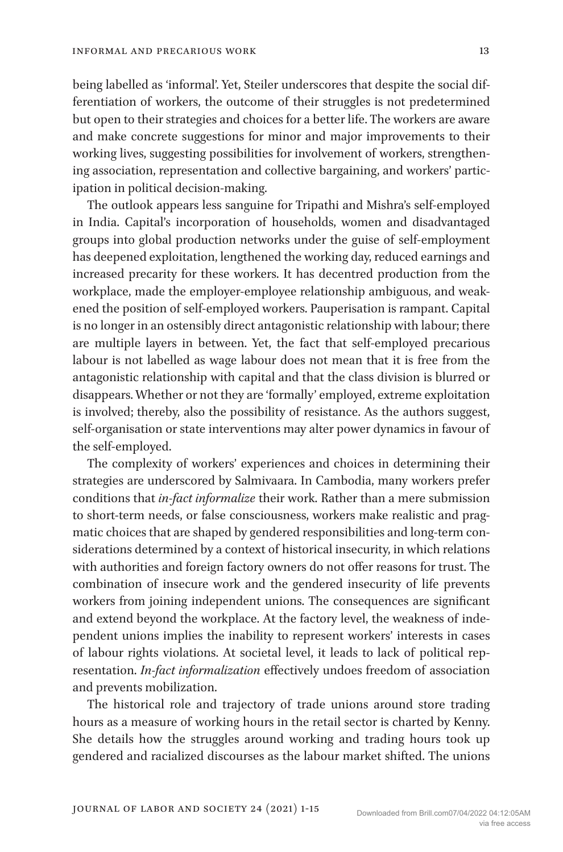being labelled as 'informal'. Yet, Steiler underscores that despite the social differentiation of workers, the outcome of their struggles is not predetermined but open to their strategies and choices for a better life. The workers are aware and make concrete suggestions for minor and major improvements to their working lives, suggesting possibilities for involvement of workers, strengthening association, representation and collective bargaining, and workers' participation in political decision-making.

The outlook appears less sanguine for Tripathi and Mishra's self-employed in India. Capital's incorporation of households, women and disadvantaged groups into global production networks under the guise of self-employment has deepened exploitation, lengthened the working day, reduced earnings and increased precarity for these workers. It has decentred production from the workplace, made the employer-employee relationship ambiguous, and weakened the position of self-employed workers. Pauperisation is rampant. Capital is no longer in an ostensibly direct antagonistic relationship with labour; there are multiple layers in between. Yet, the fact that self-employed precarious labour is not labelled as wage labour does not mean that it is free from the antagonistic relationship with capital and that the class division is blurred or disappears. Whether or not they are 'formally' employed, extreme exploitation is involved; thereby, also the possibility of resistance. As the authors suggest, self-organisation or state interventions may alter power dynamics in favour of the self-employed.

The complexity of workers' experiences and choices in determining their strategies are underscored by Salmivaara. In Cambodia, many workers prefer conditions that *in-fact informalize* their work. Rather than a mere submission to short-term needs, or false consciousness, workers make realistic and pragmatic choices that are shaped by gendered responsibilities and long-term considerations determined by a context of historical insecurity, in which relations with authorities and foreign factory owners do not offer reasons for trust. The combination of insecure work and the gendered insecurity of life prevents workers from joining independent unions. The consequences are significant and extend beyond the workplace. At the factory level, the weakness of independent unions implies the inability to represent workers' interests in cases of labour rights violations. At societal level, it leads to lack of political representation. *In-fact informalization* effectively undoes freedom of association and prevents mobilization.

The historical role and trajectory of trade unions around store trading hours as a measure of working hours in the retail sector is charted by Kenny. She details how the struggles around working and trading hours took up gendered and racialized discourses as the labour market shifted. The unions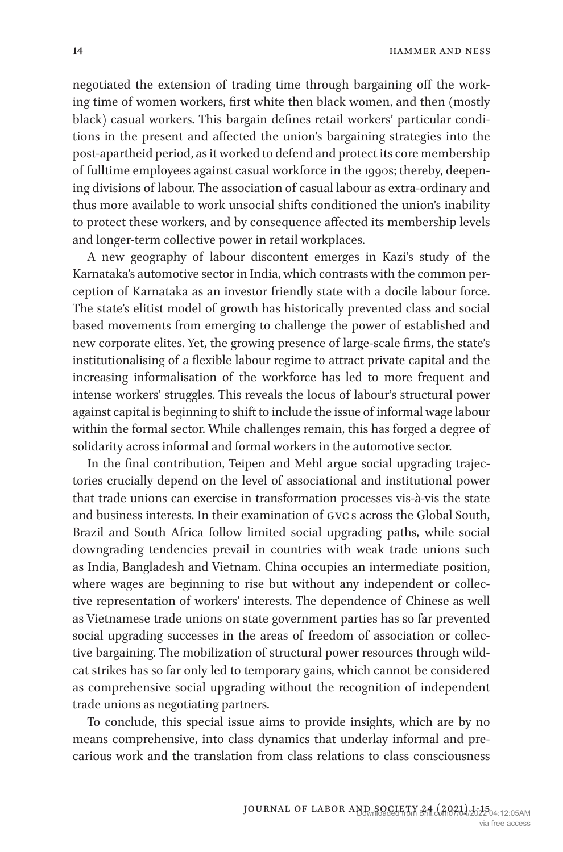negotiated the extension of trading time through bargaining off the working time of women workers, first white then black women, and then (mostly black) casual workers. This bargain defines retail workers' particular conditions in the present and affected the union's bargaining strategies into the post-apartheid period, as it worked to defend and protect its core membership of fulltime employees against casual workforce in the 1990s; thereby, deepening divisions of labour. The association of casual labour as extra-ordinary and thus more available to work unsocial shifts conditioned the union's inability to protect these workers, and by consequence affected its membership levels and longer-term collective power in retail workplaces.

A new geography of labour discontent emerges in Kazi's study of the Karnataka's automotive sector in India, which contrasts with the common perception of Karnataka as an investor friendly state with a docile labour force. The state's elitist model of growth has historically prevented class and social based movements from emerging to challenge the power of established and new corporate elites. Yet, the growing presence of large-scale firms, the state's institutionalising of a flexible labour regime to attract private capital and the increasing informalisation of the workforce has led to more frequent and intense workers' struggles. This reveals the locus of labour's structural power against capital is beginning to shift to include the issue of informal wage labour within the formal sector. While challenges remain, this has forged a degree of solidarity across informal and formal workers in the automotive sector.

In the final contribution, Teipen and Mehl argue social upgrading trajectories crucially depend on the level of associational and institutional power that trade unions can exercise in transformation processes vis-à-vis the state and business interests. In their examination of gvc s across the Global South, Brazil and South Africa follow limited social upgrading paths, while social downgrading tendencies prevail in countries with weak trade unions such as India, Bangladesh and Vietnam. China occupies an intermediate position, where wages are beginning to rise but without any independent or collective representation of workers' interests. The dependence of Chinese as well as Vietnamese trade unions on state government parties has so far prevented social upgrading successes in the areas of freedom of association or collective bargaining. The mobilization of structural power resources through wildcat strikes has so far only led to temporary gains, which cannot be considered as comprehensive social upgrading without the recognition of independent trade unions as negotiating partners.

To conclude, this special issue aims to provide insights, which are by no means comprehensive, into class dynamics that underlay informal and precarious work and the translation from class relations to class consciousness